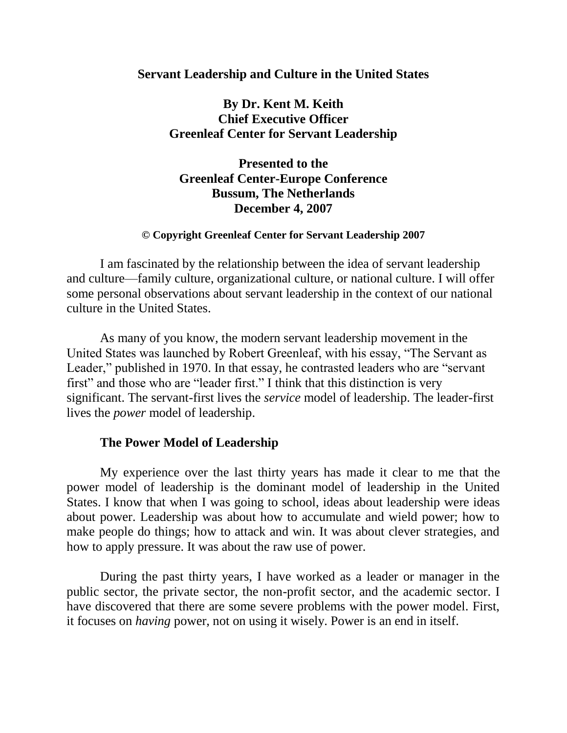## **Servant Leadership and Culture in the United States**

# **By Dr. Kent M. Keith Chief Executive Officer Greenleaf Center for Servant Leadership**

**Presented to the Greenleaf Center-Europe Conference Bussum, The Netherlands December 4, 2007**

#### **© Copyright Greenleaf Center for Servant Leadership 2007**

I am fascinated by the relationship between the idea of servant leadership and culture—family culture, organizational culture, or national culture. I will offer some personal observations about servant leadership in the context of our national culture in the United States.

As many of you know, the modern servant leadership movement in the United States was launched by Robert Greenleaf, with his essay, "The Servant as Leader," published in 1970. In that essay, he contrasted leaders who are "servant first" and those who are "leader first." I think that this distinction is very significant. The servant-first lives the *service* model of leadership. The leader-first lives the *power* model of leadership.

#### **The Power Model of Leadership**

My experience over the last thirty years has made it clear to me that the power model of leadership is the dominant model of leadership in the United States. I know that when I was going to school, ideas about leadership were ideas about power. Leadership was about how to accumulate and wield power; how to make people do things; how to attack and win. It was about clever strategies, and how to apply pressure. It was about the raw use of power.

During the past thirty years, I have worked as a leader or manager in the public sector, the private sector, the non-profit sector, and the academic sector. I have discovered that there are some severe problems with the power model. First, it focuses on *having* power, not on using it wisely. Power is an end in itself.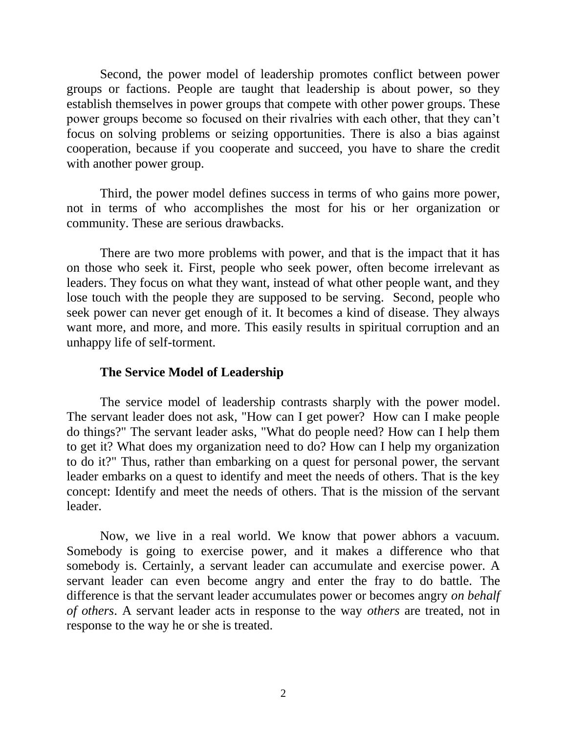Second, the power model of leadership promotes conflict between power groups or factions. People are taught that leadership is about power, so they establish themselves in power groups that compete with other power groups. These power groups become so focused on their rivalries with each other, that they can't focus on solving problems or seizing opportunities. There is also a bias against cooperation, because if you cooperate and succeed, you have to share the credit with another power group.

Third, the power model defines success in terms of who gains more power, not in terms of who accomplishes the most for his or her organization or community. These are serious drawbacks.

There are two more problems with power, and that is the impact that it has on those who seek it. First, people who seek power, often become irrelevant as leaders. They focus on what they want, instead of what other people want, and they lose touch with the people they are supposed to be serving. Second, people who seek power can never get enough of it. It becomes a kind of disease. They always want more, and more, and more. This easily results in spiritual corruption and an unhappy life of self-torment.

# **The Service Model of Leadership**

The service model of leadership contrasts sharply with the power model. The servant leader does not ask, "How can I get power? How can I make people do things?" The servant leader asks, "What do people need? How can I help them to get it? What does my organization need to do? How can I help my organization to do it?" Thus, rather than embarking on a quest for personal power, the servant leader embarks on a quest to identify and meet the needs of others. That is the key concept: Identify and meet the needs of others. That is the mission of the servant leader.

Now, we live in a real world. We know that power abhors a vacuum. Somebody is going to exercise power, and it makes a difference who that somebody is. Certainly, a servant leader can accumulate and exercise power. A servant leader can even become angry and enter the fray to do battle. The difference is that the servant leader accumulates power or becomes angry *on behalf of others*. A servant leader acts in response to the way *others* are treated, not in response to the way he or she is treated.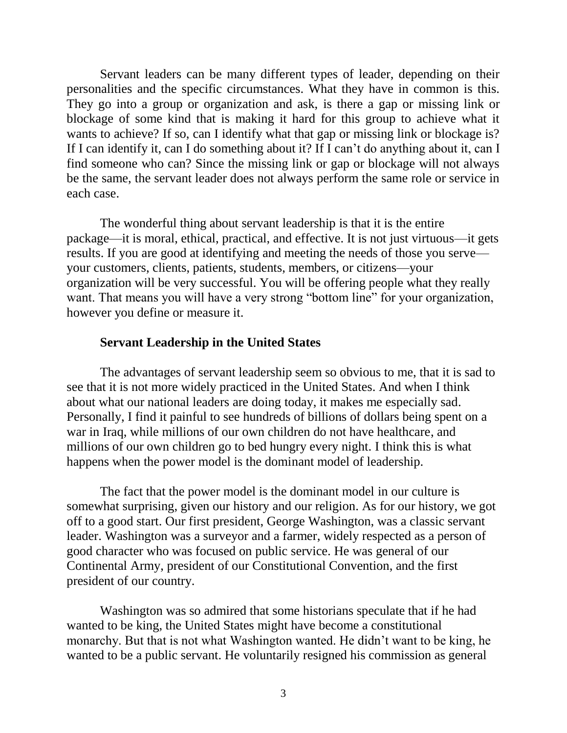Servant leaders can be many different types of leader, depending on their personalities and the specific circumstances. What they have in common is this. They go into a group or organization and ask, is there a gap or missing link or blockage of some kind that is making it hard for this group to achieve what it wants to achieve? If so, can I identify what that gap or missing link or blockage is? If I can identify it, can I do something about it? If I can't do anything about it, can I find someone who can? Since the missing link or gap or blockage will not always be the same, the servant leader does not always perform the same role or service in each case.

The wonderful thing about servant leadership is that it is the entire package—it is moral, ethical, practical, and effective. It is not just virtuous—it gets results. If you are good at identifying and meeting the needs of those you serve your customers, clients, patients, students, members, or citizens—your organization will be very successful. You will be offering people what they really want. That means you will have a very strong "bottom line" for your organization, however you define or measure it.

### **Servant Leadership in the United States**

The advantages of servant leadership seem so obvious to me, that it is sad to see that it is not more widely practiced in the United States. And when I think about what our national leaders are doing today, it makes me especially sad. Personally, I find it painful to see hundreds of billions of dollars being spent on a war in Iraq, while millions of our own children do not have healthcare, and millions of our own children go to bed hungry every night. I think this is what happens when the power model is the dominant model of leadership.

The fact that the power model is the dominant model in our culture is somewhat surprising, given our history and our religion. As for our history, we got off to a good start. Our first president, George Washington, was a classic servant leader. Washington was a surveyor and a farmer, widely respected as a person of good character who was focused on public service. He was general of our Continental Army, president of our Constitutional Convention, and the first president of our country.

Washington was so admired that some historians speculate that if he had wanted to be king, the United States might have become a constitutional monarchy. But that is not what Washington wanted. He didn't want to be king, he wanted to be a public servant. He voluntarily resigned his commission as general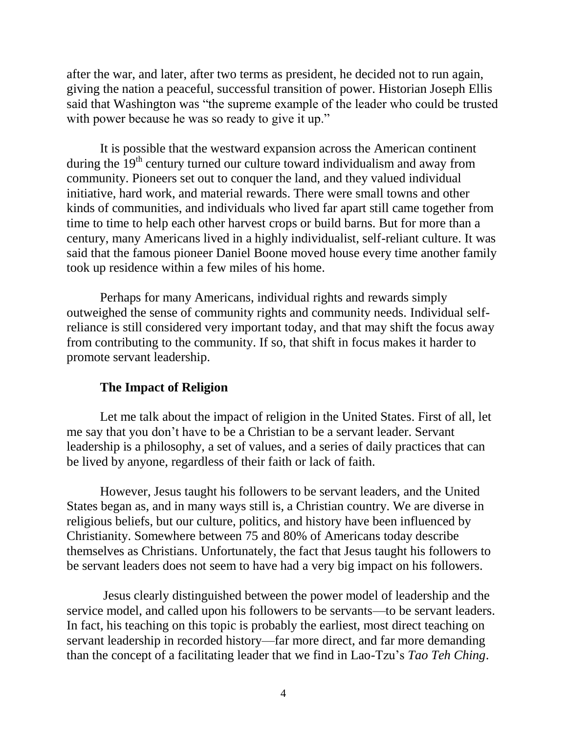after the war, and later, after two terms as president, he decided not to run again, giving the nation a peaceful, successful transition of power. Historian Joseph Ellis said that Washington was "the supreme example of the leader who could be trusted with power because he was so ready to give it up."

It is possible that the westward expansion across the American continent during the  $19<sup>th</sup>$  century turned our culture toward individualism and away from community. Pioneers set out to conquer the land, and they valued individual initiative, hard work, and material rewards. There were small towns and other kinds of communities, and individuals who lived far apart still came together from time to time to help each other harvest crops or build barns. But for more than a century, many Americans lived in a highly individualist, self-reliant culture. It was said that the famous pioneer Daniel Boone moved house every time another family took up residence within a few miles of his home.

Perhaps for many Americans, individual rights and rewards simply outweighed the sense of community rights and community needs. Individual selfreliance is still considered very important today, and that may shift the focus away from contributing to the community. If so, that shift in focus makes it harder to promote servant leadership.

### **The Impact of Religion**

Let me talk about the impact of religion in the United States. First of all, let me say that you don't have to be a Christian to be a servant leader. Servant leadership is a philosophy, a set of values, and a series of daily practices that can be lived by anyone, regardless of their faith or lack of faith.

However, Jesus taught his followers to be servant leaders, and the United States began as, and in many ways still is, a Christian country. We are diverse in religious beliefs, but our culture, politics, and history have been influenced by Christianity. Somewhere between 75 and 80% of Americans today describe themselves as Christians. Unfortunately, the fact that Jesus taught his followers to be servant leaders does not seem to have had a very big impact on his followers.

Jesus clearly distinguished between the power model of leadership and the service model, and called upon his followers to be servants—to be servant leaders. In fact, his teaching on this topic is probably the earliest, most direct teaching on servant leadership in recorded history—far more direct, and far more demanding than the concept of a facilitating leader that we find in Lao-Tzu's *Tao Teh Ching*.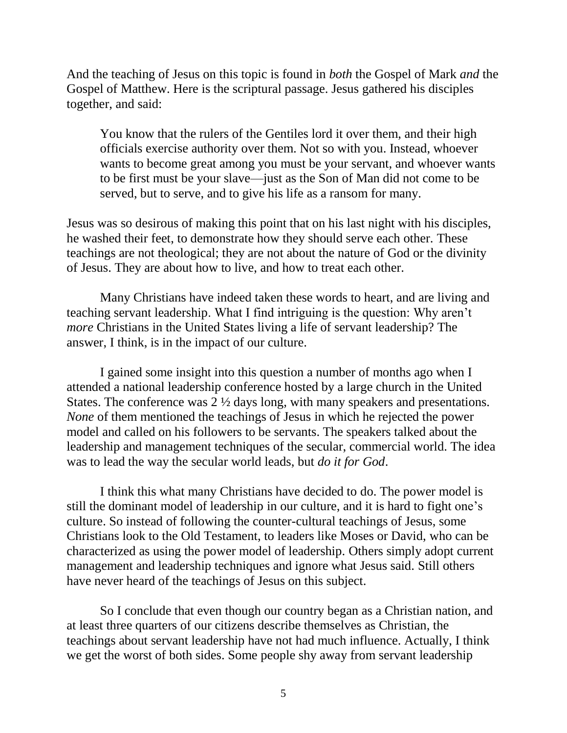And the teaching of Jesus on this topic is found in *both* the Gospel of Mark *and* the Gospel of Matthew. Here is the scriptural passage. Jesus gathered his disciples together, and said:

You know that the rulers of the Gentiles lord it over them, and their high officials exercise authority over them. Not so with you. Instead, whoever wants to become great among you must be your servant, and whoever wants to be first must be your slave—just as the Son of Man did not come to be served, but to serve, and to give his life as a ransom for many.

Jesus was so desirous of making this point that on his last night with his disciples, he washed their feet, to demonstrate how they should serve each other. These teachings are not theological; they are not about the nature of God or the divinity of Jesus. They are about how to live, and how to treat each other.

Many Christians have indeed taken these words to heart, and are living and teaching servant leadership. What I find intriguing is the question: Why aren't *more* Christians in the United States living a life of servant leadership? The answer, I think, is in the impact of our culture.

I gained some insight into this question a number of months ago when I attended a national leadership conference hosted by a large church in the United States. The conference was 2 ½ days long, with many speakers and presentations. *None* of them mentioned the teachings of Jesus in which he rejected the power model and called on his followers to be servants. The speakers talked about the leadership and management techniques of the secular, commercial world. The idea was to lead the way the secular world leads, but *do it for God*.

I think this what many Christians have decided to do. The power model is still the dominant model of leadership in our culture, and it is hard to fight one's culture. So instead of following the counter-cultural teachings of Jesus, some Christians look to the Old Testament, to leaders like Moses or David, who can be characterized as using the power model of leadership. Others simply adopt current management and leadership techniques and ignore what Jesus said. Still others have never heard of the teachings of Jesus on this subject.

So I conclude that even though our country began as a Christian nation, and at least three quarters of our citizens describe themselves as Christian, the teachings about servant leadership have not had much influence. Actually, I think we get the worst of both sides. Some people shy away from servant leadership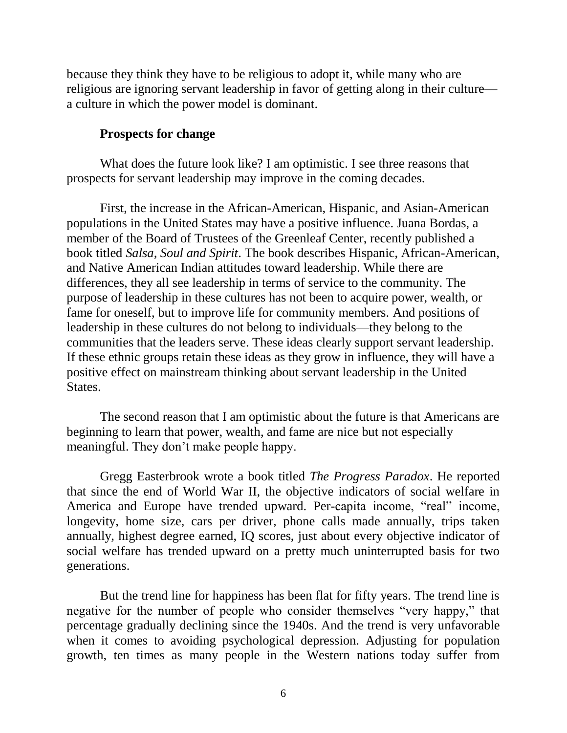because they think they have to be religious to adopt it, while many who are religious are ignoring servant leadership in favor of getting along in their culture a culture in which the power model is dominant.

# **Prospects for change**

What does the future look like? I am optimistic. I see three reasons that prospects for servant leadership may improve in the coming decades.

First, the increase in the African-American, Hispanic, and Asian-American populations in the United States may have a positive influence. Juana Bordas, a member of the Board of Trustees of the Greenleaf Center, recently published a book titled *Salsa, Soul and Spirit*. The book describes Hispanic, African-American, and Native American Indian attitudes toward leadership. While there are differences, they all see leadership in terms of service to the community. The purpose of leadership in these cultures has not been to acquire power, wealth, or fame for oneself, but to improve life for community members. And positions of leadership in these cultures do not belong to individuals—they belong to the communities that the leaders serve. These ideas clearly support servant leadership. If these ethnic groups retain these ideas as they grow in influence, they will have a positive effect on mainstream thinking about servant leadership in the United States.

The second reason that I am optimistic about the future is that Americans are beginning to learn that power, wealth, and fame are nice but not especially meaningful. They don't make people happy.

Gregg Easterbrook wrote a book titled *The Progress Paradox*. He reported that since the end of World War II, the objective indicators of social welfare in America and Europe have trended upward. Per-capita income, "real" income, longevity, home size, cars per driver, phone calls made annually, trips taken annually, highest degree earned, IQ scores, just about every objective indicator of social welfare has trended upward on a pretty much uninterrupted basis for two generations.

But the trend line for happiness has been flat for fifty years. The trend line is negative for the number of people who consider themselves "very happy," that percentage gradually declining since the 1940s. And the trend is very unfavorable when it comes to avoiding psychological depression. Adjusting for population growth, ten times as many people in the Western nations today suffer from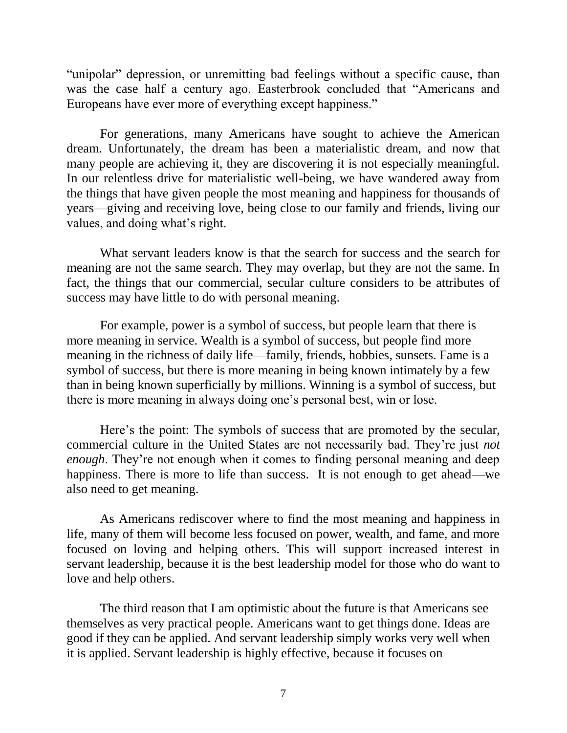"unipolar" depression, or unremitting bad feelings without a specific cause, than was the case half a century ago. Easterbrook concluded that "Americans and Europeans have ever more of everything except happiness."

For generations, many Americans have sought to achieve the American dream. Unfortunately, the dream has been a materialistic dream, and now that many people are achieving it, they are discovering it is not especially meaningful. In our relentless drive for materialistic well-being, we have wandered away from the things that have given people the most meaning and happiness for thousands of years—giving and receiving love, being close to our family and friends, living our values, and doing what's right.

What servant leaders know is that the search for success and the search for meaning are not the same search. They may overlap, but they are not the same. In fact, the things that our commercial, secular culture considers to be attributes of success may have little to do with personal meaning.

For example, power is a symbol of success, but people learn that there is more meaning in service. Wealth is a symbol of success, but people find more meaning in the richness of daily life—family, friends, hobbies, sunsets. Fame is a symbol of success, but there is more meaning in being known intimately by a few than in being known superficially by millions. Winning is a symbol of success, but there is more meaning in always doing one's personal best, win or lose.

Here's the point: The symbols of success that are promoted by the secular, commercial culture in the United States are not necessarily bad. They're just *not enough*. They're not enough when it comes to finding personal meaning and deep happiness. There is more to life than success. It is not enough to get ahead—we also need to get meaning.

As Americans rediscover where to find the most meaning and happiness in life, many of them will become less focused on power, wealth, and fame, and more focused on loving and helping others. This will support increased interest in servant leadership, because it is the best leadership model for those who do want to love and help others.

The third reason that I am optimistic about the future is that Americans see themselves as very practical people. Americans want to get things done. Ideas are good if they can be applied. And servant leadership simply works very well when it is applied. Servant leadership is highly effective, because it focuses on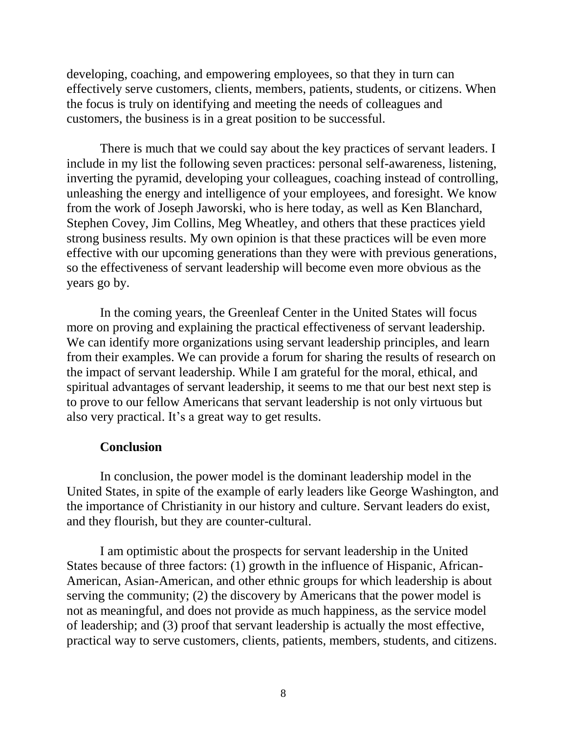developing, coaching, and empowering employees, so that they in turn can effectively serve customers, clients, members, patients, students, or citizens. When the focus is truly on identifying and meeting the needs of colleagues and customers, the business is in a great position to be successful.

There is much that we could say about the key practices of servant leaders. I include in my list the following seven practices: personal self-awareness, listening, inverting the pyramid, developing your colleagues, coaching instead of controlling, unleashing the energy and intelligence of your employees, and foresight. We know from the work of Joseph Jaworski, who is here today, as well as Ken Blanchard, Stephen Covey, Jim Collins, Meg Wheatley, and others that these practices yield strong business results. My own opinion is that these practices will be even more effective with our upcoming generations than they were with previous generations, so the effectiveness of servant leadership will become even more obvious as the years go by.

In the coming years, the Greenleaf Center in the United States will focus more on proving and explaining the practical effectiveness of servant leadership. We can identify more organizations using servant leadership principles, and learn from their examples. We can provide a forum for sharing the results of research on the impact of servant leadership. While I am grateful for the moral, ethical, and spiritual advantages of servant leadership, it seems to me that our best next step is to prove to our fellow Americans that servant leadership is not only virtuous but also very practical. It's a great way to get results.

### **Conclusion**

In conclusion, the power model is the dominant leadership model in the United States, in spite of the example of early leaders like George Washington, and the importance of Christianity in our history and culture. Servant leaders do exist, and they flourish, but they are counter-cultural.

I am optimistic about the prospects for servant leadership in the United States because of three factors: (1) growth in the influence of Hispanic, African-American, Asian-American, and other ethnic groups for which leadership is about serving the community; (2) the discovery by Americans that the power model is not as meaningful, and does not provide as much happiness, as the service model of leadership; and (3) proof that servant leadership is actually the most effective, practical way to serve customers, clients, patients, members, students, and citizens.